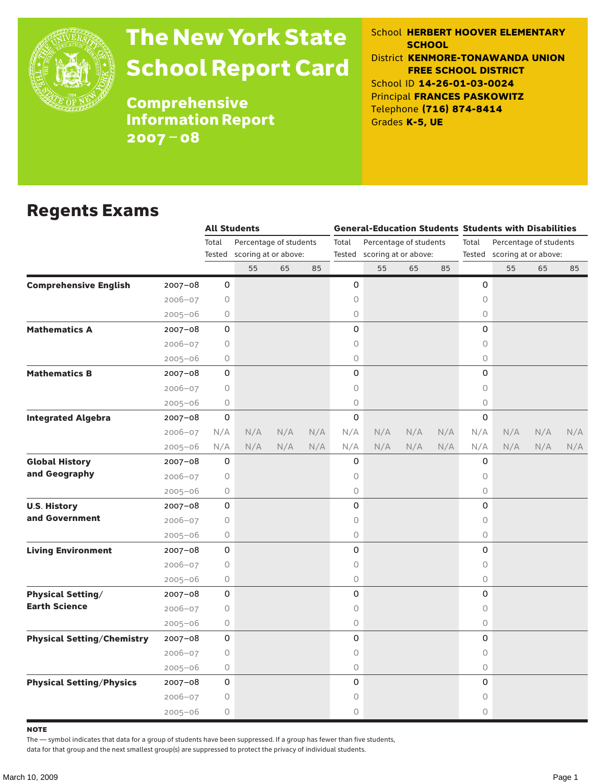

# The New York State School Report Card

School **HERBERT HOOVER ELEMENTARY SCHOOL** District **KENMORE-TONAWANDA UNION FREE SCHOOL DISTRICT** School ID **14-26-01-03-0024** Principal **FRANCES PASKOWITZ** Telephone **(716) 874-8414** Grades **K-5, UE**

**Comprehensive** Information Report 2007–08

#### Regents Exams

|                                   |             | <b>All Students</b> |                             |     |     |                                 |                             |     |     | <b>General-Education Students Students with Disabilities</b> |                             |     |     |  |
|-----------------------------------|-------------|---------------------|-----------------------------|-----|-----|---------------------------------|-----------------------------|-----|-----|--------------------------------------------------------------|-----------------------------|-----|-----|--|
|                                   |             | Total               | Percentage of students      |     |     | Percentage of students<br>Total |                             |     |     | Percentage of students<br>Total                              |                             |     |     |  |
|                                   |             |                     | Tested scoring at or above: |     |     |                                 | Tested scoring at or above: |     |     |                                                              | Tested scoring at or above: |     |     |  |
|                                   |             |                     | 55                          | 65  | 85  |                                 | 55                          | 65  | 85  |                                                              | 55                          | 65  | 85  |  |
| <b>Comprehensive English</b>      | 2007-08     | 0                   |                             |     |     | 0                               |                             |     |     | 0                                                            |                             |     |     |  |
|                                   | $2006 - 07$ | 0                   |                             |     |     | 0                               |                             |     |     | $\circ$                                                      |                             |     |     |  |
|                                   | $2005 - 06$ | 0                   |                             |     |     | 0                               |                             |     |     | 0                                                            |                             |     |     |  |
| <b>Mathematics A</b>              | $2007 - 08$ | 0                   |                             |     |     | 0                               |                             |     |     | 0                                                            |                             |     |     |  |
|                                   | $2006 - 07$ | 0                   |                             |     |     | 0                               |                             |     |     | 0                                                            |                             |     |     |  |
|                                   | $2005 - 06$ | 0                   |                             |     |     | 0                               |                             |     |     | 0                                                            |                             |     |     |  |
| <b>Mathematics B</b>              | $2007 - 08$ | 0                   |                             |     |     | 0                               |                             |     |     | 0                                                            |                             |     |     |  |
|                                   | $2006 - 07$ | 0                   |                             |     |     | 0                               |                             |     |     | $\circ$                                                      |                             |     |     |  |
|                                   | $2005 - 06$ | 0                   |                             |     |     | 0                               |                             |     |     | $\circ$                                                      |                             |     |     |  |
| <b>Integrated Algebra</b>         | $2007 - 08$ | 0                   |                             |     |     | 0                               |                             |     |     | 0                                                            |                             |     |     |  |
|                                   | $2006 - 07$ | N/A                 | N/A                         | N/A | N/A | N/A                             | N/A                         | N/A | N/A | N/A                                                          | N/A                         | N/A | N/A |  |
|                                   | $2005 - 06$ | N/A                 | N/A                         | N/A | N/A | N/A                             | N/A                         | N/A | N/A | N/A                                                          | N/A                         | N/A | N/A |  |
| <b>Global History</b>             | 2007-08     | 0                   |                             |     |     | 0                               |                             |     |     | $\Omega$                                                     |                             |     |     |  |
| and Geography                     | $2006 - 07$ | 0                   |                             |     |     | 0                               |                             |     |     | 0                                                            |                             |     |     |  |
|                                   | $2005 - 06$ | 0                   |                             |     |     | 0                               |                             |     |     | $\circ$                                                      |                             |     |     |  |
| <b>U.S. History</b>               | 2007-08     | 0                   |                             |     |     | 0                               |                             |     |     | 0                                                            |                             |     |     |  |
| and Government                    | $2006 - 07$ | 0                   |                             |     |     | 0                               |                             |     |     | 0                                                            |                             |     |     |  |
|                                   | $2005 - 06$ | 0                   |                             |     |     | 0                               |                             |     |     | $\circ$                                                      |                             |     |     |  |
| <b>Living Environment</b>         | 2007-08     | 0                   |                             |     |     | 0                               |                             |     |     | $\Omega$                                                     |                             |     |     |  |
|                                   | 2006-07     | 0                   |                             |     |     | 0                               |                             |     |     | 0                                                            |                             |     |     |  |
|                                   | $2005 - 06$ | 0                   |                             |     |     | 0                               |                             |     |     | 0                                                            |                             |     |     |  |
| <b>Physical Setting/</b>          | 2007-08     | 0                   |                             |     |     | 0                               |                             |     |     | 0                                                            |                             |     |     |  |
| <b>Earth Science</b>              | $2006 - 07$ | 0                   |                             |     |     | 0                               |                             |     |     | 0                                                            |                             |     |     |  |
|                                   | $2005 - 06$ | 0                   |                             |     |     | 0                               |                             |     |     | 0                                                            |                             |     |     |  |
| <b>Physical Setting/Chemistry</b> | 2007-08     | 0                   |                             |     |     | 0                               |                             |     |     | 0                                                            |                             |     |     |  |
|                                   | $2006 - 07$ | 0                   |                             |     |     | 0                               |                             |     |     | 0                                                            |                             |     |     |  |
|                                   | $2005 - 06$ | 0                   |                             |     |     | 0                               |                             |     |     | $\bigcirc$                                                   |                             |     |     |  |
| <b>Physical Setting/Physics</b>   | 2007-08     | 0                   |                             |     |     | 0                               |                             |     |     | 0                                                            |                             |     |     |  |
|                                   | $2006 - 07$ | 0                   |                             |     |     | 0                               |                             |     |     | 0                                                            |                             |     |     |  |
|                                   | $2005 - 06$ | 0                   |                             |     |     | 0                               |                             |     |     | 0                                                            |                             |     |     |  |

**NOTE** 

The — symbol indicates that data for a group of students have been suppressed. If a group has fewer than five students,

data for that group and the next smallest group(s) are suppressed to protect the privacy of individual students.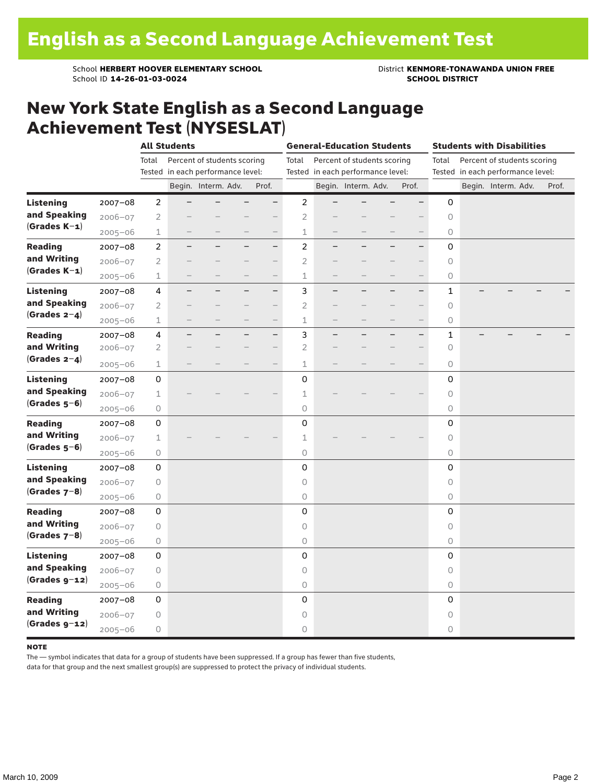School **HERBERT HOOVER ELEMENTARY SCHOOL** District **KENMORE-TONAWANDA UNION FREE**<br>School ID 14-26-01-03-0024 **District SCHOOL DISTRICT** School ID **14-26-01-03-0024** 

#### New York State English as a Second Language Achievement Test (NYSESLAT)

|                  |             | <b>All Students</b>               |                   |                             |                          |                                   | <b>General-Education Students</b> |                          |                          |                             |                                   | <b>Students with Disabilities</b> |  |                             |  |       |  |
|------------------|-------------|-----------------------------------|-------------------|-----------------------------|--------------------------|-----------------------------------|-----------------------------------|--------------------------|--------------------------|-----------------------------|-----------------------------------|-----------------------------------|--|-----------------------------|--|-------|--|
|                  |             | Total                             |                   | Percent of students scoring |                          |                                   | Total                             |                          |                          | Percent of students scoring |                                   | Total                             |  | Percent of students scoring |  |       |  |
|                  |             | Tested in each performance level: |                   |                             |                          | Tested in each performance level: |                                   |                          |                          |                             | Tested in each performance level: |                                   |  |                             |  |       |  |
|                  |             |                                   |                   | Begin. Interm. Adv.         |                          | Prof.                             |                                   |                          | Begin. Interm. Adv.      |                             | Prof.                             |                                   |  | Begin. Interm. Adv.         |  | Prof. |  |
| <b>Listening</b> | $2007 - 08$ | $\overline{2}$                    |                   |                             |                          | -                                 | $\overline{c}$                    |                          |                          |                             | $\overline{\phantom{0}}$          | 0                                 |  |                             |  |       |  |
| and Speaking     | $2006 - 07$ | $\overline{2}$                    |                   |                             |                          |                                   | $\overline{2}$                    |                          |                          |                             |                                   | $\circ$                           |  |                             |  |       |  |
| $(Grades K-1)$   | $2005 - 06$ | $\mathbf 1$                       |                   |                             |                          | $\overline{\phantom{0}}$          | $\mathbf 1$                       |                          |                          |                             |                                   | 0                                 |  |                             |  |       |  |
| <b>Reading</b>   | $2007 - 08$ | $\overline{c}$                    | ▃                 |                             |                          | $-$                               | $\overline{c}$                    | $\overline{\phantom{0}}$ |                          | $\overline{\phantom{0}}$    | $\overline{\phantom{0}}$          | 0                                 |  |                             |  |       |  |
| and Writing      | $2006 - 07$ | $\overline{2}$                    |                   |                             |                          | $\overline{\phantom{0}}$          | $\overline{2}$                    |                          |                          |                             | $\overline{\phantom{0}}$          | 0                                 |  |                             |  |       |  |
| $(Grades K-1)$   | $2005 - 06$ | $\mathbf 1$                       |                   |                             |                          | $\overline{\phantom{0}}$          | 1                                 |                          |                          |                             |                                   | 0                                 |  |                             |  |       |  |
| <b>Listening</b> | $2007 - 08$ | $\overline{4}$                    | $\qquad \qquad -$ |                             | $\qquad \qquad -$        | $\qquad \qquad -$                 | 3                                 | $\qquad \qquad$          | —                        | —                           | $\qquad \qquad -$                 | $\mathbf 1$                       |  |                             |  |       |  |
| and Speaking     | $2006 - 07$ | $\overline{2}$                    |                   |                             |                          |                                   | $\overline{2}$                    |                          |                          |                             | $\qquad \qquad -$                 | 0                                 |  |                             |  |       |  |
| (Grades $2-4$ )  | $2005 - 06$ | $\mathbf 1$                       |                   |                             | $\overline{\phantom{0}}$ | $\qquad \qquad -$                 | 1                                 | $\qquad \qquad -$        | $\overline{\phantom{0}}$ | $\qquad \qquad -$           | $\qquad \qquad -$                 | 0                                 |  |                             |  |       |  |
| <b>Reading</b>   | $2007 - 08$ | 4                                 |                   |                             |                          | $\overline{\phantom{0}}$          | 3                                 |                          |                          |                             | $\overline{\phantom{0}}$          | 1                                 |  |                             |  |       |  |
| and Writing      | 2006-07     | $\overline{2}$                    |                   |                             |                          | $\overline{\phantom{0}}$          | $\overline{2}$                    |                          |                          |                             |                                   | $\circ$                           |  |                             |  |       |  |
| (Grades $2-4$ )  | $2005 - 06$ | $\mathbf 1$                       |                   |                             |                          | $\overline{\phantom{0}}$          | $\mathbf{1}$                      |                          |                          |                             |                                   | 0                                 |  |                             |  |       |  |
| <b>Listening</b> | 2007-08     | 0                                 |                   |                             |                          |                                   | 0                                 |                          |                          |                             |                                   | 0                                 |  |                             |  |       |  |
| and Speaking     | $2006 - 07$ | $\mathbf 1$                       |                   |                             |                          |                                   | 1                                 |                          |                          |                             |                                   | 0                                 |  |                             |  |       |  |
| $(Grades 5-6)$   | $2005 - 06$ | $\bigcirc$                        |                   |                             |                          |                                   | 0                                 |                          |                          |                             |                                   | 0                                 |  |                             |  |       |  |
| <b>Reading</b>   | $2007 - 08$ | 0                                 |                   |                             |                          |                                   | 0                                 |                          |                          |                             |                                   | 0                                 |  |                             |  |       |  |
| and Writing      | $2006 - 07$ | $\mathbf 1$                       |                   |                             |                          |                                   | $\mathbf 1$                       |                          |                          |                             |                                   | 0                                 |  |                             |  |       |  |
| $(Grades 5-6)$   | $2005 - 06$ | $\circ$                           |                   |                             |                          |                                   | $\circ$                           |                          |                          |                             |                                   | $\circ$                           |  |                             |  |       |  |
| <b>Listening</b> | 2007-08     | 0                                 |                   |                             |                          |                                   | 0                                 |                          |                          |                             |                                   | 0                                 |  |                             |  |       |  |
| and Speaking     | $2006 - 07$ | $\bigcirc$                        |                   |                             |                          |                                   | 0                                 |                          |                          |                             |                                   | $\circ$                           |  |                             |  |       |  |
| $(Grades 7-8)$   | $2005 - 06$ | 0                                 |                   |                             |                          |                                   | 0                                 |                          |                          |                             |                                   | 0                                 |  |                             |  |       |  |
| <b>Reading</b>   | $2007 - 08$ | 0                                 |                   |                             |                          |                                   | 0                                 |                          |                          |                             |                                   | 0                                 |  |                             |  |       |  |
| and Writing      | 2006-07     | $\bigcirc$                        |                   |                             |                          |                                   | 0                                 |                          |                          |                             |                                   | 0                                 |  |                             |  |       |  |
| $(Grades 7-8)$   | $2005 - 06$ | 0                                 |                   |                             |                          |                                   | 0                                 |                          |                          |                             |                                   | 0                                 |  |                             |  |       |  |
| <b>Listening</b> | 2007-08     | 0                                 |                   |                             |                          |                                   | 0                                 |                          |                          |                             |                                   | 0                                 |  |                             |  |       |  |
| and Speaking     | $2006 - 07$ | $\bigcirc$                        |                   |                             |                          |                                   | $\bigcirc$                        |                          |                          |                             |                                   | 0                                 |  |                             |  |       |  |
| $(Grades g-12)$  | $2005 - 06$ | $\bigcirc$                        |                   |                             |                          |                                   | $\bigcirc$                        |                          |                          |                             |                                   | 0                                 |  |                             |  |       |  |
| <b>Reading</b>   | $2007 - 08$ | 0                                 |                   |                             |                          |                                   | 0                                 |                          |                          |                             |                                   | 0                                 |  |                             |  |       |  |
| and Writing      | $2006 - 07$ | 0                                 |                   |                             |                          |                                   | 0                                 |                          |                          |                             |                                   | 0                                 |  |                             |  |       |  |
| $(Grades g-12)$  | $2005 - 06$ | 0                                 |                   |                             |                          |                                   | 0                                 |                          |                          |                             |                                   | 0                                 |  |                             |  |       |  |

#### **NOTE**

The — symbol indicates that data for a group of students have been suppressed. If a group has fewer than five students,

data for that group and the next smallest group(s) are suppressed to protect the privacy of individual students.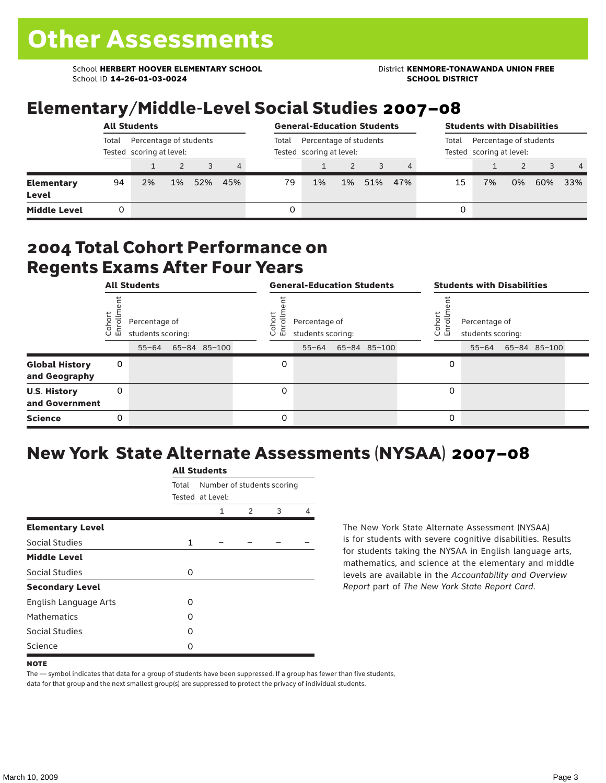School **HERBERT HOOVER ELEMENTARY SCHOOL** District **KENMORE-TONAWANDA UNION FREE**<br>School ID 14-26-01-03-0024 **District Album School District** School ID **14-26-01-03-0024** 

### Elementary/Middle-Level Social Studies 2007–08

|                                   | <b>All Students</b>                                         |    |       |     |     |       | <b>General-Education Students</b>                  |       |                                                             | <b>Students with Disabilities</b> |    |    |    |     |                |
|-----------------------------------|-------------------------------------------------------------|----|-------|-----|-----|-------|----------------------------------------------------|-------|-------------------------------------------------------------|-----------------------------------|----|----|----|-----|----------------|
|                                   | Total<br>Percentage of students<br>Tested scoring at level: |    |       |     |     | Total | Percentage of students<br>Tested scoring at level: |       | Percentage of students<br>Total<br>Tested scoring at level: |                                   |    |    |    |     |                |
|                                   |                                                             |    |       | 3   | 4   |       |                                                    |       |                                                             | 4                                 |    |    |    |     | $\overline{4}$ |
| <b>Elementary</b><br><b>Level</b> | 94                                                          | 2% | $1\%$ | 52% | 45% | 79    | $1\%$                                              | $1\%$ | 51%                                                         | 47%                               | 15 | 7% | 0% | 60% | 33%            |
| <b>Middle Level</b>               | 0                                                           |    |       |     |     |       |                                                    |       |                                                             |                                   | 0  |    |    |     |                |

#### 2004 Total Cohort Performance on Regents Exams After Four Years

|                                        | <b>All Students</b> |                                                 |  |              | <b>General-Education Students</b> |                                                 |  |              |  |                | <b>Students with Disabilities</b>  |  |                    |  |  |  |
|----------------------------------------|---------------------|-------------------------------------------------|--|--------------|-----------------------------------|-------------------------------------------------|--|--------------|--|----------------|------------------------------------|--|--------------------|--|--|--|
|                                        | Coho<br>Enroll      | Percentage of<br>students scoring:<br>$55 - 64$ |  | 65-84 85-100 | Coho<br>o,<br>巴                   | Percentage of<br>students scoring:<br>$55 - 64$ |  | 65-84 85-100 |  | Coho<br>6<br>문 | Percentage of<br>students scoring: |  | 55-64 65-84 85-100 |  |  |  |
| <b>Global History</b><br>and Geography | 0                   |                                                 |  |              | 0                                 |                                                 |  |              |  | 0              |                                    |  |                    |  |  |  |
| <b>U.S. History</b><br>and Government  | 0                   |                                                 |  |              | 0                                 |                                                 |  |              |  | 0              |                                    |  |                    |  |  |  |
| <b>Science</b>                         | 0                   |                                                 |  |              | $\Omega$                          |                                                 |  |              |  | 0              |                                    |  |                    |  |  |  |

## New York State Alternate Assessments (NYSAA) 2007–08

|                         | <b>All Students</b> |                                                |               |   |   |  |  |  |  |  |  |  |
|-------------------------|---------------------|------------------------------------------------|---------------|---|---|--|--|--|--|--|--|--|
|                         | Total               | Number of students scoring<br>Tested at Level: |               |   |   |  |  |  |  |  |  |  |
|                         |                     | 1                                              | $\mathcal{P}$ | 3 | 4 |  |  |  |  |  |  |  |
| <b>Elementary Level</b> |                     |                                                |               |   |   |  |  |  |  |  |  |  |
| Social Studies          | $\mathbf{1}$        |                                                |               |   |   |  |  |  |  |  |  |  |
| <b>Middle Level</b>     |                     |                                                |               |   |   |  |  |  |  |  |  |  |
| Social Studies          | O                   |                                                |               |   |   |  |  |  |  |  |  |  |
| <b>Secondary Level</b>  |                     |                                                |               |   |   |  |  |  |  |  |  |  |
| English Language Arts   | O                   |                                                |               |   |   |  |  |  |  |  |  |  |
| <b>Mathematics</b>      | O                   |                                                |               |   |   |  |  |  |  |  |  |  |
| <b>Social Studies</b>   | O                   |                                                |               |   |   |  |  |  |  |  |  |  |
| Science                 | O                   |                                                |               |   |   |  |  |  |  |  |  |  |

The New York State Alternate Assessment (NYSAA) is for students with severe cognitive disabilities. Results for students taking the NYSAA in English language arts, mathematics, and science at the elementary and middle levels are available in the *Accountability and Overview Report* part of *The New York State Report Card*.

The — symbol indicates that data for a group of students have been suppressed. If a group has fewer than five students, data for that group and the next smallest group(s) are suppressed to protect the privacy of individual students.

**NOTE**